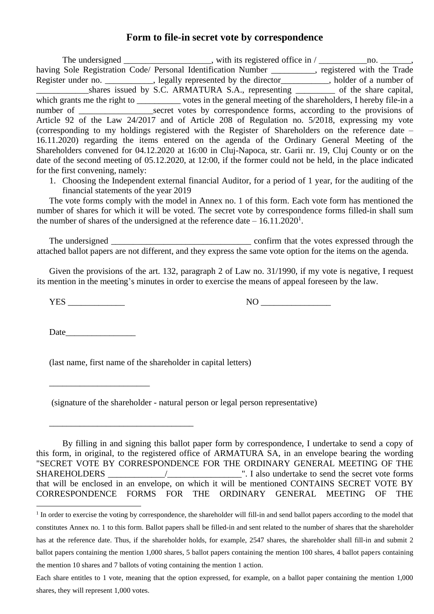## **Form to file-in secret vote by correspondence**

The undersigned \_\_\_\_\_\_\_\_\_\_\_\_\_\_\_\_, with its registered office in  $/$  \_\_\_\_\_\_\_\_\_\_\_\_\_\_\_\_\_\_\_, having Sole Registration Code/ Personal Identification Number \_\_\_\_\_\_\_\_, registered with the Trade Register under no. \_\_\_\_\_\_\_\_\_, legally represented by the director\_\_\_\_\_\_\_\_, holder of a number of \_\_\_\_\_\_\_\_\_\_\_\_shares issued by S.C. ARMATURA S.A., representing \_\_\_\_\_\_\_\_\_ of the share capital, which grants me the right to \_\_\_\_\_\_\_\_\_\_\_ votes in the general meeting of the shareholders, I hereby file-in a number of \_\_\_\_\_\_\_\_\_\_\_\_\_\_\_\_\_\_\_\_\_\_secret votes by correspondence forms, according to the provisions of Article 92 of the Law 24/2017 and of Article 208 of Regulation no. 5/2018, expressing my vote (corresponding to my holdings registered with the Register of Shareholders on the reference date – 16.11.2020) regarding the items entered on the agenda of the Ordinary General Meeting of the Shareholders convened for 04.12.2020 at 16:00 in Cluj-Napoca, str. Garii nr. 19, Cluj County or on the date of the second meeting of 05.12.2020, at 12:00, if the former could not be held, in the place indicated for the first convening, namely:

1. Choosing the Independent external financial Auditor, for a period of 1 year, for the auditing of the financial statements of the year 2019

The vote forms comply with the model in Annex no. 1 of this form. Each vote form has mentioned the number of shares for which it will be voted. The secret vote by correspondence forms filled-in shall sum the number of shares of the undersigned at the reference date  $-16.11.2020<sup>1</sup>$ .

The undersigned expressed through the votes expressed through the votes expressed through the attached ballot papers are not different, and they express the same vote option for the items on the agenda.

Given the provisions of the art. 132, paragraph 2 of Law no. 31/1990, if my vote is negative, I request its mention in the meeting's minutes in order to exercise the means of appeal foreseen by the law.

YES NO NO NO RESTRIBUTION NO NO RESTRIBUTION NO RESTRIBUTION OF THE SAME RESTRIBUTION OF THE SAME RESTRICTION OF THE SAME RESTRICTION OF THE SAME RESTRICTION OF THE SAME RESTRICTION OF THE SAME RESTRICTION OF THE SAME REST

Date was a set of the set of  $\alpha$ 

\_\_\_\_\_\_\_\_\_\_\_\_\_\_\_\_\_\_\_\_\_\_\_

\_\_\_\_\_\_\_\_\_\_\_\_\_\_\_\_\_\_\_\_\_\_\_\_\_\_\_\_\_\_\_\_\_

(last name, first name of the shareholder in capital letters)

(signature of the shareholder - natural person or legal person representative)

By filling in and signing this ballot paper form by correspondence, I undertake to send a copy of this form, in original, to the registered office of ARMATURA SA, in an envelope bearing the wording "SECRET VOTE BY CORRESPONDENCE FOR THE ORDINARY GENERAL MEETING OF THE SHAREHOLDERS \_\_\_\_\_\_\_\_\_\_\_\_\_/\_\_\_\_\_\_\_\_\_\_\_\_\_\_\_\_\_". I also undertake to send the secret vote forms that will be enclosed in an envelope, on which it will be mentioned CONTAINS SECRET VOTE BY CORRESPONDENCE FORMS FOR THE ORDINARY GENERAL MEETING OF THE

<sup>&</sup>lt;sup>1</sup> In order to exercise the voting by correspondence, the shareholder will fill-in and send ballot papers according to the model that constitutes Annex no. 1 to this form. Ballot papers shall be filled-in and sent related to the number of shares that the shareholder has at the reference date. Thus, if the shareholder holds, for example, 2547 shares, the shareholder shall fill-in and submit 2 ballot papers containing the mention 1,000 shares, 5 ballot papers containing the mention 100 shares, 4 ballot papers containing the mention 10 shares and 7 ballots of voting containing the mention 1 action.

Each share entitles to 1 vote, meaning that the option expressed, for example, on a ballot paper containing the mention 1,000 shares, they will represent 1,000 votes.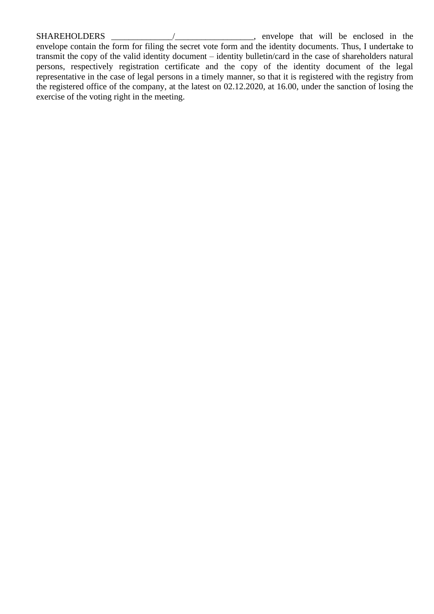SHAREHOLDERS \_\_\_\_\_\_\_\_\_\_\_\_\_\_/\_\_\_\_\_\_\_\_\_\_\_\_\_\_\_\_\_\_, envelope that will be enclosed in the envelope contain the form for filing the secret vote form and the identity documents. Thus, I undertake to transmit the copy of the valid identity document – identity bulletin/card in the case of shareholders natural persons, respectively registration certificate and the copy of the identity document of the legal representative in the case of legal persons in a timely manner, so that it is registered with the registry from the registered office of the company, at the latest on 02.12.2020, at 16.00, under the sanction of losing the exercise of the voting right in the meeting.